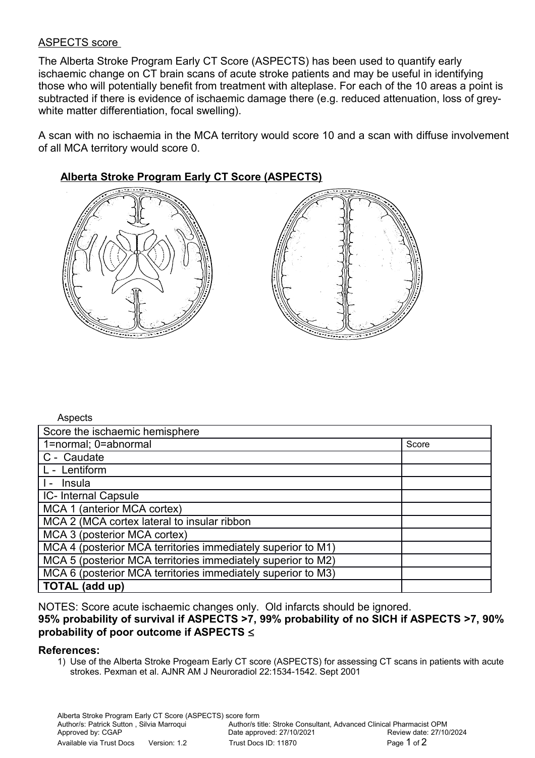## ASPECTS score

The Alberta Stroke Program Early CT Score (ASPECTS) has been used to quantify early ischaemic change on CT brain scans of acute stroke patients and may be useful in identifying those who will potentially benefit from treatment with alteplase. For each of the 10 areas a point is subtracted if there is evidence of ischaemic damage there (e.g. reduced attenuation, loss of greywhite matter differentiation, focal swelling).

A scan with no ischaemia in the MCA territory would score 10 and a scan with diffuse involvement of all MCA territory would score 0.

## **Alberta Stroke Program Early CT Score (ASPECTS)**





| Aspects                                                      |       |
|--------------------------------------------------------------|-------|
| Score the ischaemic hemisphere                               |       |
| 1=normal; 0=abnormal                                         | Score |
| C - Caudate                                                  |       |
| L - Lentiform                                                |       |
| I - Insula                                                   |       |
| IC- Internal Capsule                                         |       |
| MCA 1 (anterior MCA cortex)                                  |       |
| MCA 2 (MCA cortex lateral to insular ribbon                  |       |
| MCA 3 (posterior MCA cortex)                                 |       |
| MCA 4 (posterior MCA territories immediately superior to M1) |       |
| MCA 5 (posterior MCA territories immediately superior to M2) |       |
| MCA 6 (posterior MCA territories immediately superior to M3) |       |
| TOTAL (add up)                                               |       |

NOTES: Score acute ischaemic changes only. Old infarcts should be ignored.

## **95% probability of survival if ASPECTS >7, 99% probability of no SICH if ASPECTS >7, 90% probability of poor outcome if ASPECTS** £

## **References:**

1) Use of the Alberta Stroke Progeam Early CT score (ASPECTS) for assessing CT scans in patients with acute strokes. Pexman et al. AJNR AM J Neuroradiol 22:1534-1542. Sept 2001

Alberta Stroke Program Early CT Score (ASPECTS) score form Author/s: Patrick Sutton , Silvia Marroqui **Author/s title: Stroke Consultant, Advanced Clinical Pharmacist OPM**<br>Approved by: CGAP **Date approved: 27/10/2021** Review date: 27/10/2024 Date approved: 27/10/2021 Available via Trust Docs Version: 1.2 Trust Docs ID: 11870 **Page 1 of 2 Page 1 of 2**